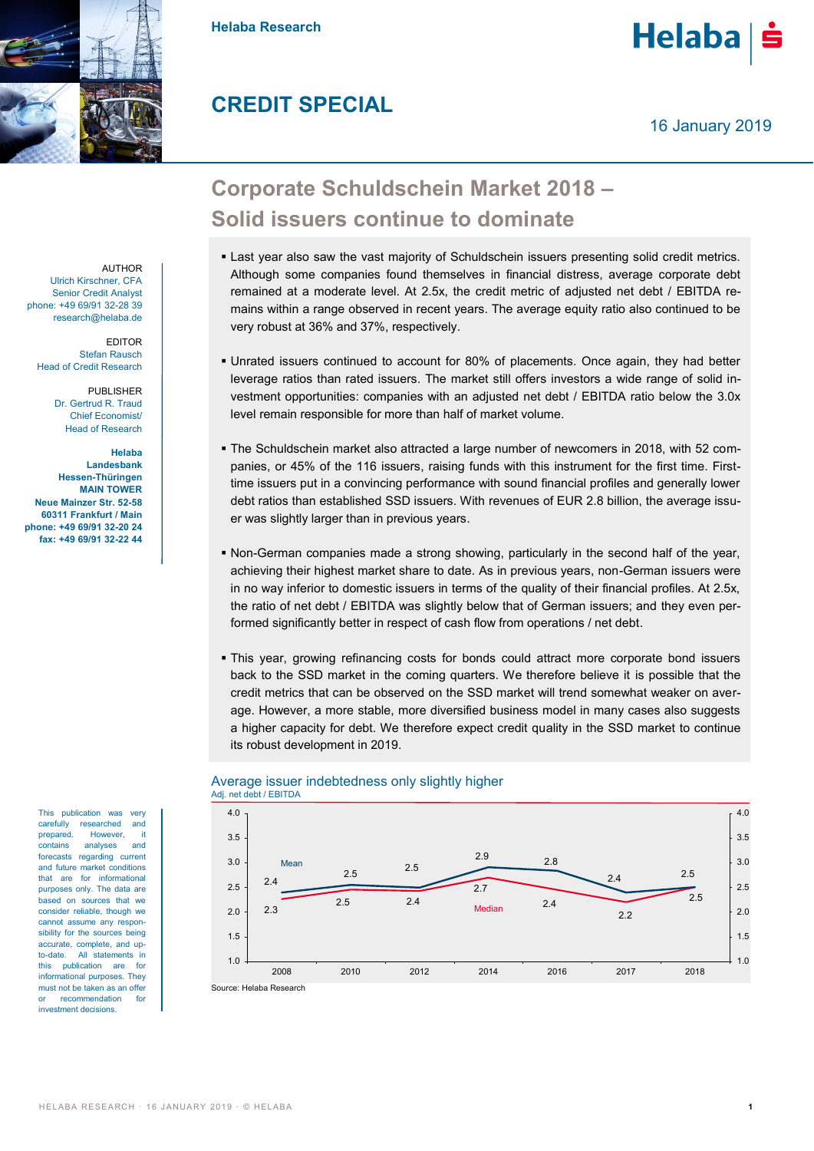

**Helaba Research**

## **CREDIT SPECIAL**

Helaba

# **Corporate Schuldschein Market 2018 – Solid issuers continue to dominate**

- **Last year also saw the vast majority of Schuldschein issuers presenting solid credit metrics.** Although some companies found themselves in financial distress, average corporate debt remained at a moderate level. At 2.5x, the credit metric of adjusted net debt / EBITDA remains within a range observed in recent years. The average equity ratio also continued to be very robust at 36% and 37%, respectively.
- Unrated issuers continued to account for 80% of placements. Once again, they had better leverage ratios than rated issuers. The market still offers investors a wide range of solid investment opportunities: companies with an adjusted net debt / EBITDA ratio below the 3.0x level remain responsible for more than half of market volume.
- The Schuldschein market also attracted a large number of newcomers in 2018, with 52 companies, or 45% of the 116 issuers, raising funds with this instrument for the first time. Firsttime issuers put in a convincing performance with sound financial profiles and generally lower debt ratios than established SSD issuers. With revenues of EUR 2.8 billion, the average issuer was slightly larger than in previous years.
- Non-German companies made a strong showing, particularly in the second half of the year, achieving their highest market share to date. As in previous years, non-German issuers were in no way inferior to domestic issuers in terms of the quality of their financial profiles. At 2.5x, the ratio of net debt / EBITDA was slightly below that of German issuers; and they even performed significantly better in respect of cash flow from operations / net debt.
- This year, growing refinancing costs for bonds could attract more corporate bond issuers back to the SSD market in the coming quarters. We therefore believe it is possible that the credit metrics that can be observed on the SSD market will trend somewhat weaker on average. However, a more stable, more diversified business model in many cases also suggests a higher capacity for debt. We therefore expect credit quality in the SSD market to continue its robust development in 2019.



### Average issuer indebtedness only slightly higher

AUTHOR Ulrich Kirschner, CFA Senior Credit Analyst phone: +49 69/91 32-28 39 research@helaba.de

> EDITOR Stefan Rausch Head of Credit Research

> > PUBLISHER Dr. Gertrud R. Traud Chief Economist/ Head of Research

**Helaba Landesbank Hessen-Thüringen MAIN TOWER Neue Mainzer Str. 52-58 60311 Frankfurt / Main phone: +49 69/91 32-20 24 fax: +49 69/91 32-22 44**

> This publication was very carefully researched and prepared. However, it contains analyses and forecasts regarding current and future market conditions that are for informational purposes only. The data are based on sources that we consider reliable, though we cannot assume any responsibility for the sources being accurate, complete, and upto-date. All statements in this publication are for informational purposes. They must not be taken as an offer or recommendation for investment decisions.